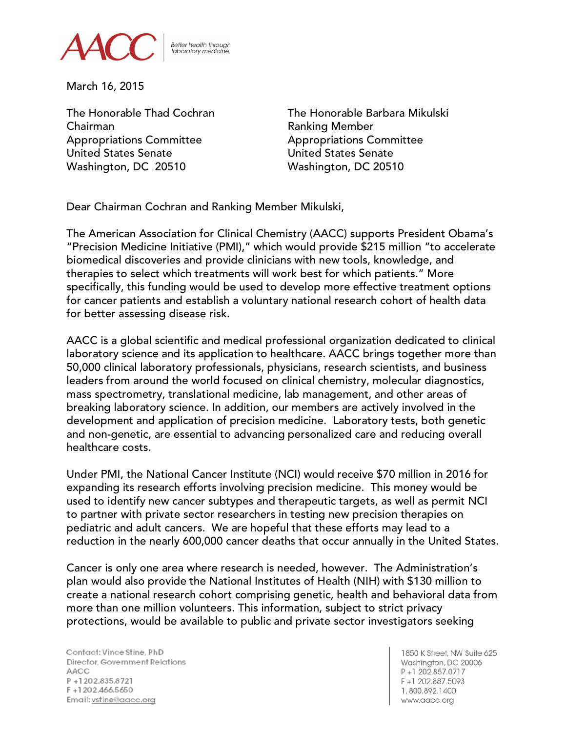

**Better health through** laboratory medicine

March 16, 2015

Chairman **Chairman** Ranking Member Appropriations Committee **Appropriations Committee** United States Senate United States Senate Washington, DC 20510 Washington, DC 20510

The Honorable Thad Cochran The Honorable Barbara Mikulski

Dear Chairman Cochran and Ranking Member Mikulski,

The American Association for Clinical Chemistry (AACC) supports President Obama's "Precision Medicine Initiative (PMI)," which would provide \$215 million "to accelerate biomedical discoveries and provide clinicians with new tools, knowledge, and therapies to select which treatments will work best for which patients." More specifically, this funding would be used to develop more effective treatment options for cancer patients and establish a voluntary national research cohort of health data for better assessing disease risk.

AACC is a global scientific and medical professional organization dedicated to clinical laboratory science and its application to healthcare. AACC brings together more than 50,000 clinical laboratory professionals, physicians, research scientists, and business leaders from around the world focused on clinical chemistry, molecular diagnostics, mass spectrometry, translational medicine, lab management, and other areas of breaking laboratory science. In addition, our members are actively involved in the development and application of precision medicine. Laboratory tests, both genetic and non-genetic, are essential to advancing personalized care and reducing overall healthcare costs.

Under PMI, the National Cancer Institute (NCI) would receive \$70 million in 2016 for expanding its research efforts involving precision medicine. This money would be used to identify new cancer subtypes and therapeutic targets, as well as permit NCI to partner with private sector researchers in testing new precision therapies on pediatric and adult cancers. We are hopeful that these efforts may lead to a reduction in the nearly 600,000 cancer deaths that occur annually in the United States.

Cancer is only one area where research is needed, however. The Administration's plan would also provide the National Institutes of Health (NIH) with \$130 million to create a national research cohort comprising genetic, health and behavioral data from more than one million volunteers. This information, subject to strict privacy protections, would be available to public and private sector investigators seeking

Contact: Vince Stine, PhD Director, Government Relations AACC P+1202.835.8721 F+1202.466.5650 Email: vstine@aacc.org

1850 K Street, NW Suite 625 Washington, DC 20006 P+1 202.857.0717 F+1 202.887.5093 1.800.892.1400 www.aacc.org